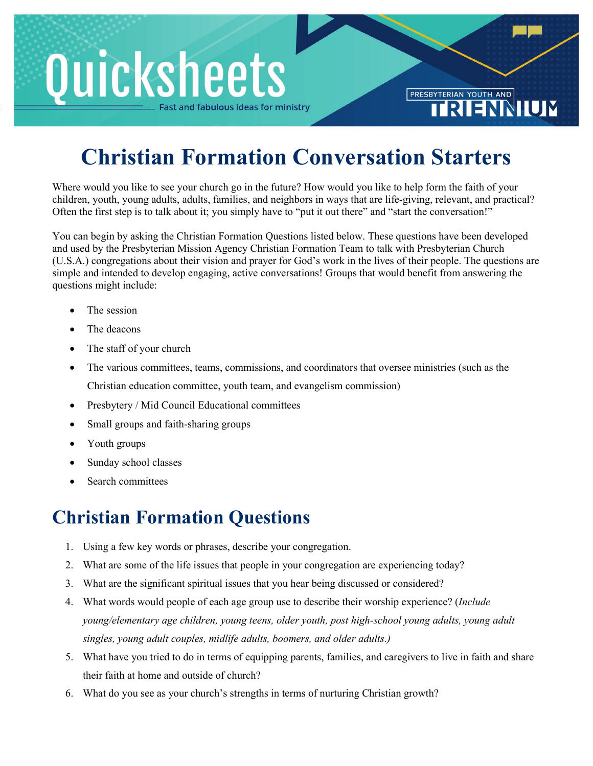## **Quicksheets** st and fabulous ideas for ministry

## **Christian Formation Conversation Starters**

PRESBYTERIAN YOUTH AND

Where would you like to see your church go in the future? How would you like to help form the faith of your children, youth, young adults, adults, families, and neighbors in ways that are life-giving, relevant, and practical? Often the first step is to talk about it; you simply have to "put it out there" and "start the conversation!"

You can begin by asking the Christian Formation Questions listed below. These questions have been developed and used by the Presbyterian Mission Agency Christian Formation Team to talk with Presbyterian Church (U.S.A.) congregations about their vision and prayer for God's work in the lives of their people. The questions are simple and intended to develop engaging, active conversations! Groups that would benefit from answering the questions might include:

- The session
- The deacons
- The staff of your church
- The various committees, teams, commissions, and coordinators that oversee ministries (such as the Christian education committee, youth team, and evangelism commission)
- Presbytery / Mid Council Educational committees
- Small groups and faith-sharing groups
- Youth groups
- Sunday school classes
- Search committees

## **Christian Formation Questions**

- 1. Using a few key words or phrases, describe your congregation.
- 2. What are some of the life issues that people in your congregation are experiencing today?
- 3. What are the significant spiritual issues that you hear being discussed or considered?
- 4. What words would people of each age group use to describe their worship experience? (*Include young/elementary age children, young teens, older youth, post high-school young adults, young adult singles, young adult couples, midlife adults, boomers, and older adults.)*
- 5. What have you tried to do in terms of equipping parents, families, and caregivers to live in faith and share their faith at home and outside of church?
- 6. What do you see as your church's strengths in terms of nurturing Christian growth?